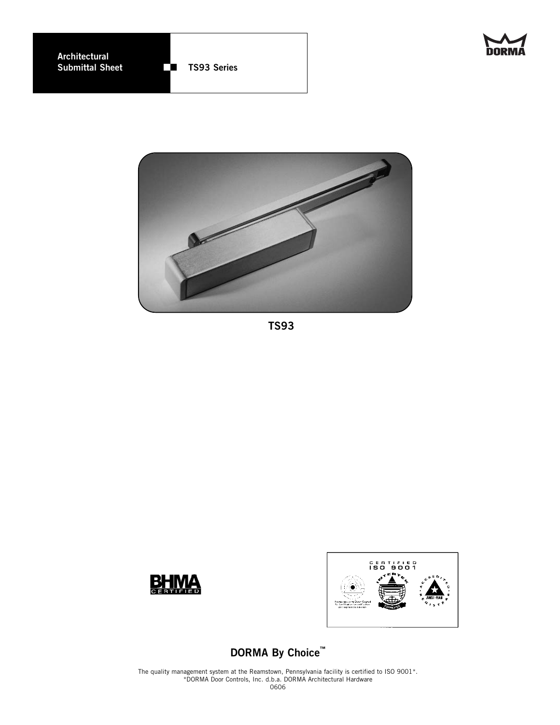



**TS93**





# **DORMA By Choice™**

The quality management system at the Reamstown, Pennsylvania facility is certified to ISO 9001\*. \*DORMA Door Controls, Inc. d.b.a. DORMA Architectural Hardware